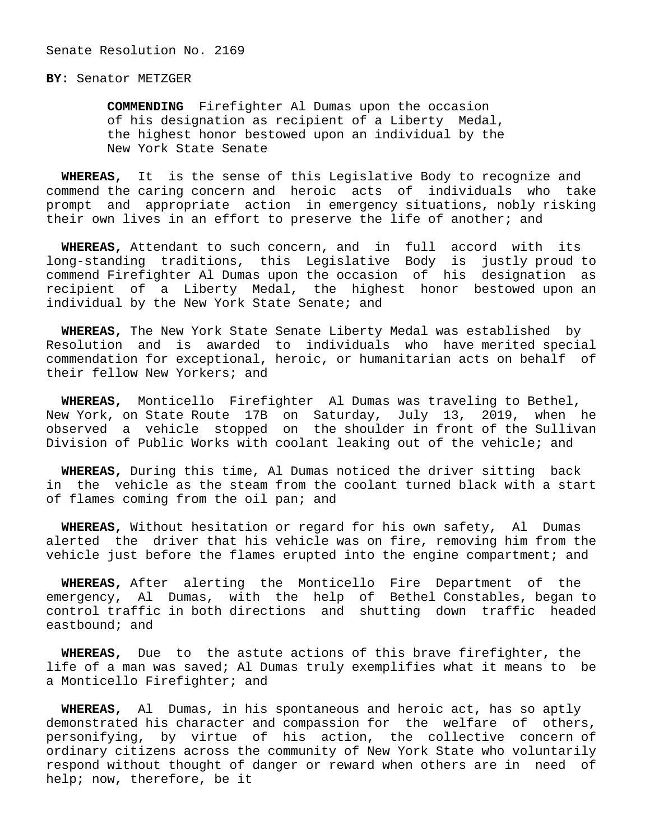## **BY:** Senator METZGER

 **COMMENDING** Firefighter Al Dumas upon the occasion of his designation as recipient of a Liberty Medal, the highest honor bestowed upon an individual by the New York State Senate

 **WHEREAS,** It is the sense of this Legislative Body to recognize and commend the caring concern and heroic acts of individuals who take prompt and appropriate action in emergency situations, nobly risking their own lives in an effort to preserve the life of another; and

 **WHEREAS,** Attendant to such concern, and in full accord with its long-standing traditions, this Legislative Body is justly proud to commend Firefighter Al Dumas upon the occasion of his designation as recipient of a Liberty Medal, the highest honor bestowed upon an individual by the New York State Senate; and

 **WHEREAS,** The New York State Senate Liberty Medal was established by Resolution and is awarded to individuals who have merited special commendation for exceptional, heroic, or humanitarian acts on behalf of their fellow New Yorkers; and

 **WHEREAS,** Monticello Firefighter Al Dumas was traveling to Bethel, New York, on State Route 17B on Saturday, July 13, 2019, when he observed a vehicle stopped on the shoulder in front of the Sullivan Division of Public Works with coolant leaking out of the vehicle; and

 **WHEREAS,** During this time, Al Dumas noticed the driver sitting back in the vehicle as the steam from the coolant turned black with a start of flames coming from the oil pan; and

 **WHEREAS,** Without hesitation or regard for his own safety, Al Dumas alerted the driver that his vehicle was on fire, removing him from the vehicle just before the flames erupted into the engine compartment; and

 **WHEREAS,** After alerting the Monticello Fire Department of the emergency, Al Dumas, with the help of Bethel Constables, began to control traffic in both directions and shutting down traffic headed eastbound; and

 **WHEREAS,** Due to the astute actions of this brave firefighter, the life of a man was saved; Al Dumas truly exemplifies what it means to be a Monticello Firefighter; and

 **WHEREAS,** Al Dumas, in his spontaneous and heroic act, has so aptly demonstrated his character and compassion for the welfare of others, personifying, by virtue of his action, the collective concern of ordinary citizens across the community of New York State who voluntarily respond without thought of danger or reward when others are in need of help; now, therefore, be it